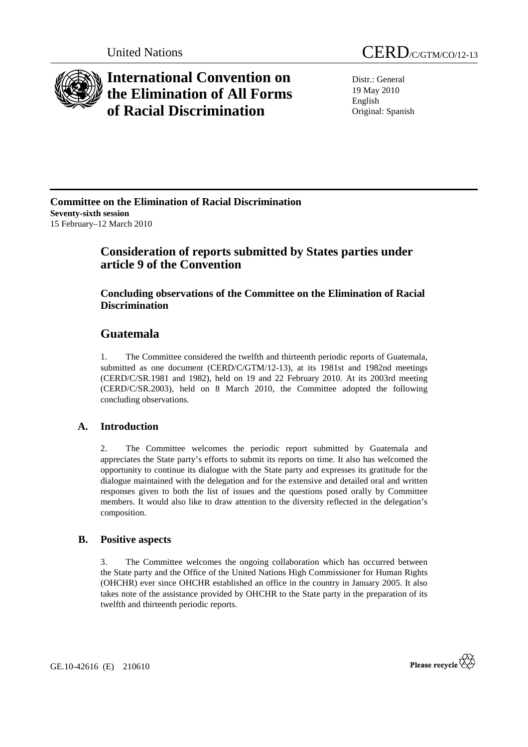

# **International Convention on the Elimination of All Forms of Racial Discrimination**

Distr.: General 19 May 2010 English Original: Spanish

### **Committee on the Elimination of Racial Discrimination Seventy-sixth session**  15 February–12 March 2010

# **Consideration of reports submitted by States parties under article 9 of the Convention**

### **Concluding observations of the Committee on the Elimination of Racial Discrimination**

# **Guatemala**

1. The Committee considered the twelfth and thirteenth periodic reports of Guatemala, submitted as one document (CERD/C/GTM/12-13), at its 1981st and 1982nd meetings (CERD/C/SR.1981 and 1982), held on 19 and 22 February 2010. At its 2003rd meeting (CERD/C/SR.2003), held on 8 March 2010, the Committee adopted the following concluding observations.

### **A. Introduction**

2. The Committee welcomes the periodic report submitted by Guatemala and appreciates the State party's efforts to submit its reports on time. It also has welcomed the opportunity to continue its dialogue with the State party and expresses its gratitude for the dialogue maintained with the delegation and for the extensive and detailed oral and written responses given to both the list of issues and the questions posed orally by Committee members. It would also like to draw attention to the diversity reflected in the delegation's composition.

#### **B. Positive aspects**

3. The Committee welcomes the ongoing collaboration which has occurred between the State party and the Office of the United Nations High Commissioner for Human Rights (OHCHR) ever since OHCHR established an office in the country in January 2005. It also takes note of the assistance provided by OHCHR to the State party in the preparation of its twelfth and thirteenth periodic reports.

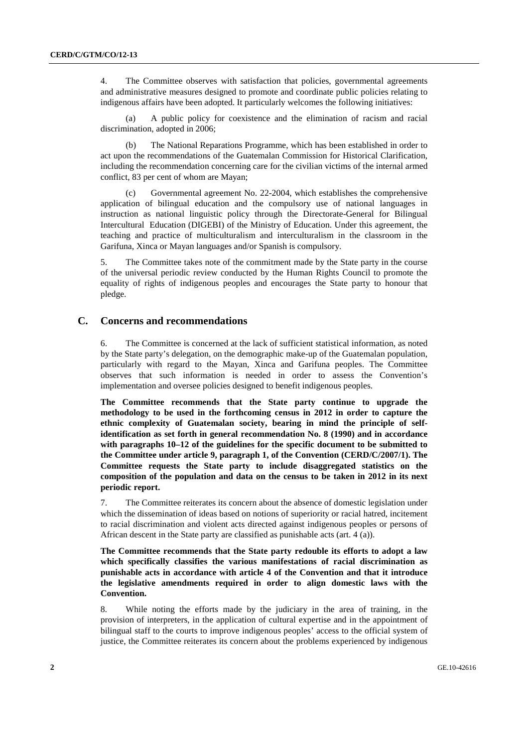4. The Committee observes with satisfaction that policies, governmental agreements and administrative measures designed to promote and coordinate public policies relating to indigenous affairs have been adopted. It particularly welcomes the following initiatives:

 (a) A public policy for coexistence and the elimination of racism and racial discrimination, adopted in 2006;

 (b) The National Reparations Programme, which has been established in order to act upon the recommendations of the Guatemalan Commission for Historical Clarification, including the recommendation concerning care for the civilian victims of the internal armed conflict, 83 per cent of whom are Mayan;

 (c) Governmental agreement No. 22-2004, which establishes the comprehensive application of bilingual education and the compulsory use of national languages in instruction as national linguistic policy through the Directorate-General for Bilingual Intercultural Education (DIGEBI) of the Ministry of Education. Under this agreement, the teaching and practice of multiculturalism and interculturalism in the classroom in the Garifuna, Xinca or Mayan languages and/or Spanish is compulsory.

5. The Committee takes note of the commitment made by the State party in the course of the universal periodic review conducted by the Human Rights Council to promote the equality of rights of indigenous peoples and encourages the State party to honour that pledge.

#### **C. Concerns and recommendations**

6. The Committee is concerned at the lack of sufficient statistical information, as noted by the State party's delegation, on the demographic make-up of the Guatemalan population, particularly with regard to the Mayan, Xinca and Garifuna peoples. The Committee observes that such information is needed in order to assess the Convention's implementation and oversee policies designed to benefit indigenous peoples.

**The Committee recommends that the State party continue to upgrade the methodology to be used in the forthcoming census in 2012 in order to capture the ethnic complexity of Guatemalan society, bearing in mind the principle of selfidentification as set forth in general recommendation No. 8 (1990) and in accordance with paragraphs 10–12 of the guidelines for the specific document to be submitted to the Committee under article 9, paragraph 1, of the Convention (CERD/C/2007/1). The Committee requests the State party to include disaggregated statistics on the composition of the population and data on the census to be taken in 2012 in its next periodic report.** 

7. The Committee reiterates its concern about the absence of domestic legislation under which the dissemination of ideas based on notions of superiority or racial hatred, incitement to racial discrimination and violent acts directed against indigenous peoples or persons of African descent in the State party are classified as punishable acts (art. 4 (a)).

**The Committee recommends that the State party redouble its efforts to adopt a law which specifically classifies the various manifestations of racial discrimination as punishable acts in accordance with article 4 of the Convention and that it introduce the legislative amendments required in order to align domestic laws with the Convention.** 

8. While noting the efforts made by the judiciary in the area of training, in the provision of interpreters, in the application of cultural expertise and in the appointment of bilingual staff to the courts to improve indigenous peoples' access to the official system of justice, the Committee reiterates its concern about the problems experienced by indigenous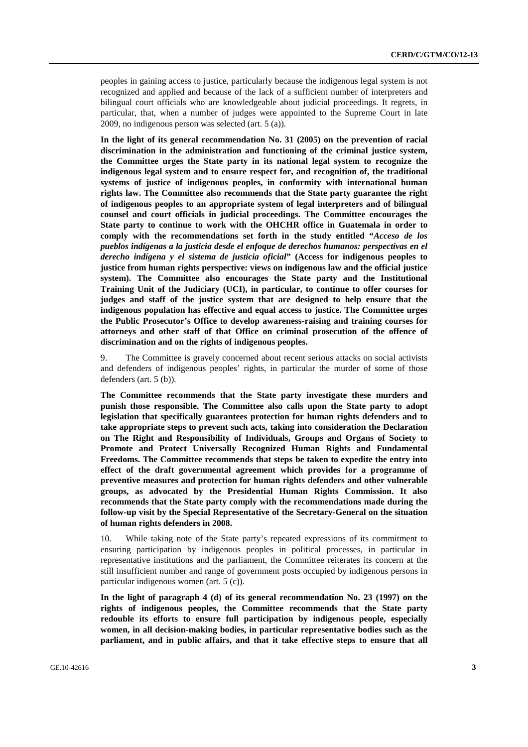peoples in gaining access to justice, particularly because the indigenous legal system is not recognized and applied and because of the lack of a sufficient number of interpreters and bilingual court officials who are knowledgeable about judicial proceedings. It regrets, in particular, that, when a number of judges were appointed to the Supreme Court in late 2009, no indigenous person was selected (art. 5 (a)).

**In the light of its general recommendation No. 31 (2005) on the prevention of racial discrimination in the administration and functioning of the criminal justice system, the Committee urges the State party in its national legal system to recognize the indigenous legal system and to ensure respect for, and recognition of, the traditional systems of justice of indigenous peoples, in conformity with international human rights law. The Committee also recommends that the State party guarantee the right of indigenous peoples to an appropriate system of legal interpreters and of bilingual counsel and court officials in judicial proceedings. The Committee encourages the State party to continue to work with the OHCHR office in Guatemala in order to comply with the recommendations set forth in the study entitled "***Acceso de los pueblos indígenas a la justicia desde el enfoque de derechos humanos: perspectivas en el derecho indígena y el sistema de justicia oficial***" (Access for indigenous peoples to justice from human rights perspective: views on indigenous law and the official justice system). The Committee also encourages the State party and the Institutional Training Unit of the Judiciary (UCI), in particular, to continue to offer courses for judges and staff of the justice system that are designed to help ensure that the indigenous population has effective and equal access to justice. The Committee urges the Public Prosecutor's Office to develop awareness-raising and training courses for attorneys and other staff of that Office on criminal prosecution of the offence of discrimination and on the rights of indigenous peoples.** 

9. The Committee is gravely concerned about recent serious attacks on social activists and defenders of indigenous peoples' rights, in particular the murder of some of those defenders (art. 5 (b)).

**The Committee recommends that the State party investigate these murders and punish those responsible. The Committee also calls upon the State party to adopt legislation that specifically guarantees protection for human rights defenders and to take appropriate steps to prevent such acts, taking into consideration the Declaration on The Right and Responsibility of Individuals, Groups and Organs of Society to Promote and Protect Universally Recognized Human Rights and Fundamental Freedoms. The Committee recommends that steps be taken to expedite the entry into effect of the draft governmental agreement which provides for a programme of preventive measures and protection for human rights defenders and other vulnerable groups, as advocated by the Presidential Human Rights Commission. It also recommends that the State party comply with the recommendations made during the follow-up visit by the Special Representative of the Secretary-General on the situation of human rights defenders in 2008.** 

10. While taking note of the State party's repeated expressions of its commitment to ensuring participation by indigenous peoples in political processes, in particular in representative institutions and the parliament, the Committee reiterates its concern at the still insufficient number and range of government posts occupied by indigenous persons in particular indigenous women (art. 5 (c)).

**In the light of paragraph 4 (d) of its general recommendation No. 23 (1997) on the rights of indigenous peoples, the Committee recommends that the State party redouble its efforts to ensure full participation by indigenous people, especially women, in all decision-making bodies, in particular representative bodies such as the parliament, and in public affairs, and that it take effective steps to ensure that all**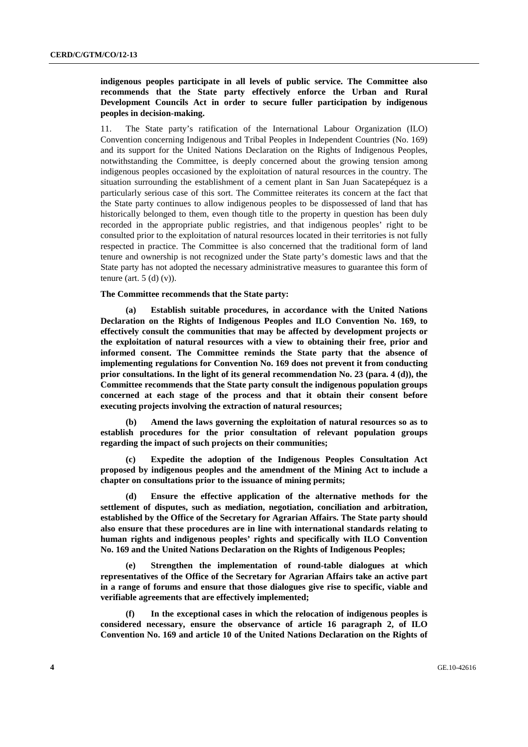#### **indigenous peoples participate in all levels of public service. The Committee also recommends that the State party effectively enforce the Urban and Rural Development Councils Act in order to secure fuller participation by indigenous peoples in decision-making.**

11. The State party's ratification of the International Labour Organization (ILO) Convention concerning Indigenous and Tribal Peoples in Independent Countries (No. 169) and its support for the United Nations Declaration on the Rights of Indigenous Peoples, notwithstanding the Committee, is deeply concerned about the growing tension among indigenous peoples occasioned by the exploitation of natural resources in the country. The situation surrounding the establishment of a cement plant in San Juan Sacatepéquez is a particularly serious case of this sort. The Committee reiterates its concern at the fact that the State party continues to allow indigenous peoples to be dispossessed of land that has historically belonged to them, even though title to the property in question has been duly recorded in the appropriate public registries, and that indigenous peoples' right to be consulted prior to the exploitation of natural resources located in their territories is not fully respected in practice. The Committee is also concerned that the traditional form of land tenure and ownership is not recognized under the State party's domestic laws and that the State party has not adopted the necessary administrative measures to guarantee this form of tenure (art.  $5$  (d) (v)).

#### **The Committee recommends that the State party:**

**(a) Establish suitable procedures, in accordance with the United Nations Declaration on the Rights of Indigenous Peoples and ILO Convention No. 169, to effectively consult the communities that may be affected by development projects or the exploitation of natural resources with a view to obtaining their free, prior and informed consent. The Committee reminds the State party that the absence of implementing regulations for Convention No. 169 does not prevent it from conducting prior consultations. In the light of its general recommendation No. 23 (para. 4 (d)), the Committee recommends that the State party consult the indigenous population groups concerned at each stage of the process and that it obtain their consent before executing projects involving the extraction of natural resources;** 

 **(b) Amend the laws governing the exploitation of natural resources so as to establish procedures for the prior consultation of relevant population groups regarding the impact of such projects on their communities;** 

 **(c) Expedite the adoption of the Indigenous Peoples Consultation Act proposed by indigenous peoples and the amendment of the Mining Act to include a chapter on consultations prior to the issuance of mining permits;** 

 **(d) Ensure the effective application of the alternative methods for the settlement of disputes, such as mediation, negotiation, conciliation and arbitration, established by the Office of the Secretary for Agrarian Affairs. The State party should also ensure that these procedures are in line with international standards relating to human rights and indigenous peoples' rights and specifically with ILO Convention No. 169 and the United Nations Declaration on the Rights of Indigenous Peoples;** 

 **(e) Strengthen the implementation of round-table dialogues at which representatives of the Office of the Secretary for Agrarian Affairs take an active part in a range of forums and ensure that those dialogues give rise to specific, viable and verifiable agreements that are effectively implemented;** 

 **(f) In the exceptional cases in which the relocation of indigenous peoples is considered necessary, ensure the observance of article 16 paragraph 2, of ILO Convention No. 169 and article 10 of the United Nations Declaration on the Rights of**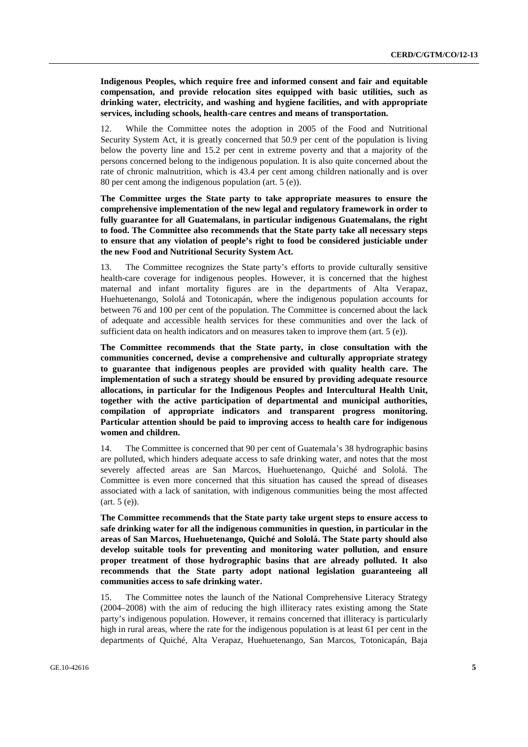**Indigenous Peoples, which require free and informed consent and fair and equitable compensation, and provide relocation sites equipped with basic utilities, such as drinking water, electricity, and washing and hygiene facilities, and with appropriate services, including schools, health-care centres and means of transportation.**

12. While the Committee notes the adoption in 2005 of the Food and Nutritional Security System Act, it is greatly concerned that 50.9 per cent of the population is living below the poverty line and 15.2 per cent in extreme poverty and that a majority of the persons concerned belong to the indigenous population. It is also quite concerned about the rate of chronic malnutrition, which is 43.4 per cent among children nationally and is over 80 per cent among the indigenous population (art. 5 (e)).

**The Committee urges the State party to take appropriate measures to ensure the comprehensive implementation of the new legal and regulatory framework in order to fully guarantee for all Guatemalans, in particular indigenous Guatemalans, the right to food. The Committee also recommends that the State party take all necessary steps to ensure that any violation of people's right to food be considered justiciable under the new Food and Nutritional Security System Act.** 

13. The Committee recognizes the State party's efforts to provide culturally sensitive health-care coverage for indigenous peoples. However, it is concerned that the highest maternal and infant mortality figures are in the departments of Alta Verapaz, Huehuetenango, Sololá and Totonicapán, where the indigenous population accounts for between 76 and 100 per cent of the population. The Committee is concerned about the lack of adequate and accessible health services for these communities and over the lack of sufficient data on health indicators and on measures taken to improve them (art. 5 (e)).

**The Committee recommends that the State party, in close consultation with the communities concerned, devise a comprehensive and culturally appropriate strategy to guarantee that indigenous peoples are provided with quality health care. The implementation of such a strategy should be ensured by providing adequate resource allocations, in particular for the Indigenous Peoples and Intercultural Health Unit, together with the active participation of departmental and municipal authorities, compilation of appropriate indicators and transparent progress monitoring. Particular attention should be paid to improving access to health care for indigenous women and children.** 

14. The Committee is concerned that 90 per cent of Guatemala's 38 hydrographic basins are polluted, which hinders adequate access to safe drinking water, and notes that the most severely affected areas are San Marcos, Huehuetenango, Quiché and Sololá. The Committee is even more concerned that this situation has caused the spread of diseases associated with a lack of sanitation, with indigenous communities being the most affected (art. 5 (e)).

**The Committee recommends that the State party take urgent steps to ensure access to safe drinking water for all the indigenous communities in question, in particular in the areas of San Marcos, Huehuetenango, Quiché and Sololá. The State party should also develop suitable tools for preventing and monitoring water pollution, and ensure proper treatment of those hydrographic basins that are already polluted. It also recommends that the State party adopt national legislation guaranteeing all communities access to safe drinking water.** 

15. The Committee notes the launch of the National Comprehensive Literacy Strategy (2004–2008) with the aim of reducing the high illiteracy rates existing among the State party's indigenous population. However, it remains concerned that illiteracy is particularly high in rural areas, where the rate for the indigenous population is at least 61 per cent in the departments of Quiché, Alta Verapaz, Huehuetenango, San Marcos, Totonicapán, Baja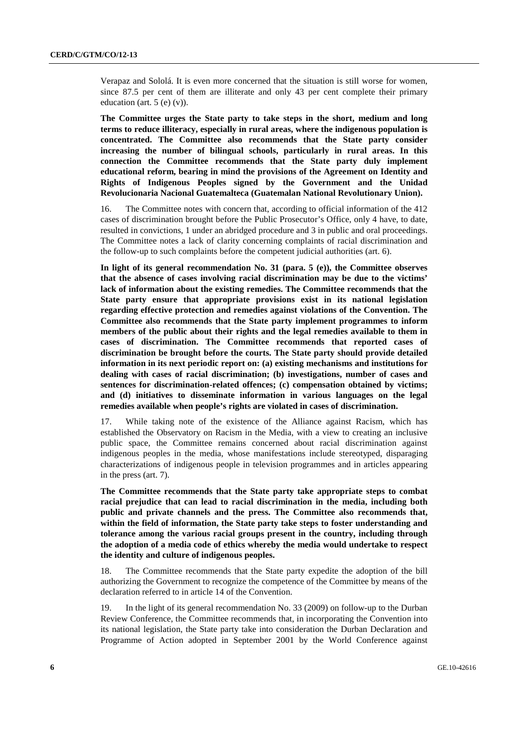Verapaz and Sololá. It is even more concerned that the situation is still worse for women, since 87.5 per cent of them are illiterate and only 43 per cent complete their primary education (art.  $5(e)(v)$ ).

**The Committee urges the State party to take steps in the short, medium and long terms to reduce illiteracy, especially in rural areas, where the indigenous population is concentrated. The Committee also recommends that the State party consider increasing the number of bilingual schools, particularly in rural areas. In this connection the Committee recommends that the State party duly implement educational reform, bearing in mind the provisions of the Agreement on Identity and Rights of Indigenous Peoples signed by the Government and the Unidad Revolucionaria Nacional Guatemalteca (Guatemalan National Revolutionary Union).**

16. The Committee notes with concern that, according to official information of the 412 cases of discrimination brought before the Public Prosecutor's Office, only 4 have, to date, resulted in convictions, 1 under an abridged procedure and 3 in public and oral proceedings. The Committee notes a lack of clarity concerning complaints of racial discrimination and the follow-up to such complaints before the competent judicial authorities (art. 6).

**In light of its general recommendation No. 31 (para. 5 (e)), the Committee observes that the absence of cases involving racial discrimination may be due to the victims' lack of information about the existing remedies. The Committee recommends that the State party ensure that appropriate provisions exist in its national legislation regarding effective protection and remedies against violations of the Convention. The Committee also recommends that the State party implement programmes to inform members of the public about their rights and the legal remedies available to them in cases of discrimination. The Committee recommends that reported cases of discrimination be brought before the courts. The State party should provide detailed information in its next periodic report on: (a) existing mechanisms and institutions for dealing with cases of racial discrimination; (b) investigations, number of cases and sentences for discrimination-related offences; (c) compensation obtained by victims; and (d) initiatives to disseminate information in various languages on the legal remedies available when people's rights are violated in cases of discrimination.** 

17. While taking note of the existence of the Alliance against Racism, which has established the Observatory on Racism in the Media, with a view to creating an inclusive public space, the Committee remains concerned about racial discrimination against indigenous peoples in the media, whose manifestations include stereotyped, disparaging characterizations of indigenous people in television programmes and in articles appearing in the press (art. 7).

**The Committee recommends that the State party take appropriate steps to combat racial prejudice that can lead to racial discrimination in the media, including both public and private channels and the press. The Committee also recommends that, within the field of information, the State party take steps to foster understanding and tolerance among the various racial groups present in the country, including through the adoption of a media code of ethics whereby the media would undertake to respect the identity and culture of indigenous peoples.** 

18. The Committee recommends that the State party expedite the adoption of the bill authorizing the Government to recognize the competence of the Committee by means of the declaration referred to in article 14 of the Convention.

19. In the light of its general recommendation No. 33 (2009) on follow-up to the Durban Review Conference, the Committee recommends that, in incorporating the Convention into its national legislation, the State party take into consideration the Durban Declaration and Programme of Action adopted in September 2001 by the World Conference against